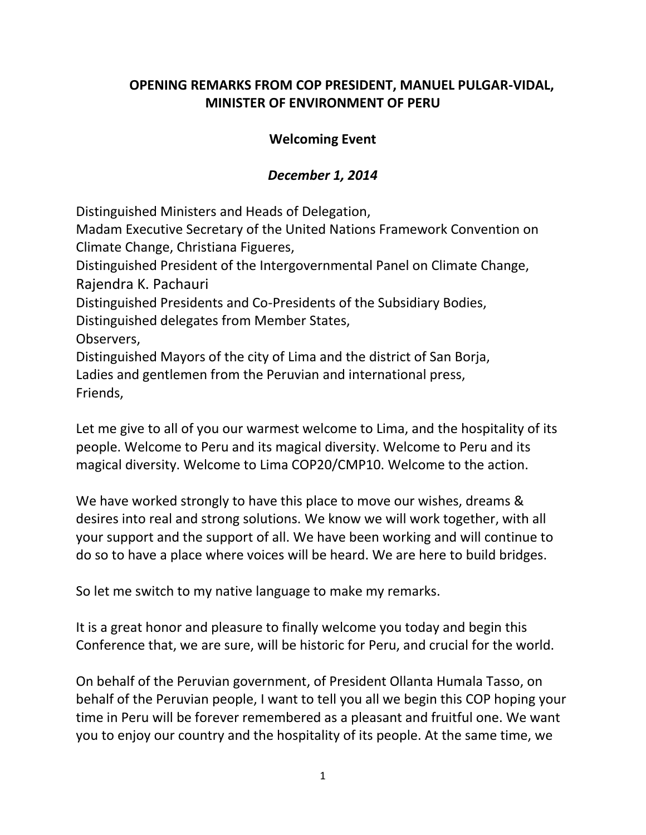## **OPENING REMARKS FROM COP PRESIDENT, MANUEL PULGAR-VIDAL, MINISTER OF ENVIRONMENT OF PERU**

## **Welcoming Event**

## *December 1, 2014*

Distinguished Ministers and Heads of Delegation,

Madam Executive Secretary of the United Nations Framework Convention on Climate Change, Christiana Figueres,

Distinguished President of the Intergovernmental Panel on Climate Change, Rajendra K. Pachauri

Distinguished Presidents and Co-Presidents of the Subsidiary Bodies, Distinguished delegates from Member States,

Observers,

Distinguished Mayors of the city of Lima and the district of San Borja, Ladies and gentlemen from the Peruvian and international press, Friends,

Let me give to all of you our warmest welcome to Lima, and the hospitality of its people. Welcome to Peru and its magical diversity. Welcome to Peru and its magical diversity. Welcome to Lima COP20/CMP10. Welcome to the action.

We have worked strongly to have this place to move our wishes, dreams & desires into real and strong solutions. We know we will work together, with all your support and the support of all. We have been working and will continue to do so to have a place where voices will be heard. We are here to build bridges.

So let me switch to my native language to make my remarks.

It is a great honor and pleasure to finally welcome you today and begin this Conference that, we are sure, will be historic for Peru, and crucial for the world.

On behalf of the Peruvian government, of President Ollanta Humala Tasso, on behalf of the Peruvian people, I want to tell you all we begin this COP hoping your time in Peru will be forever remembered as a pleasant and fruitful one. We want you to enjoy our country and the hospitality of its people. At the same time, we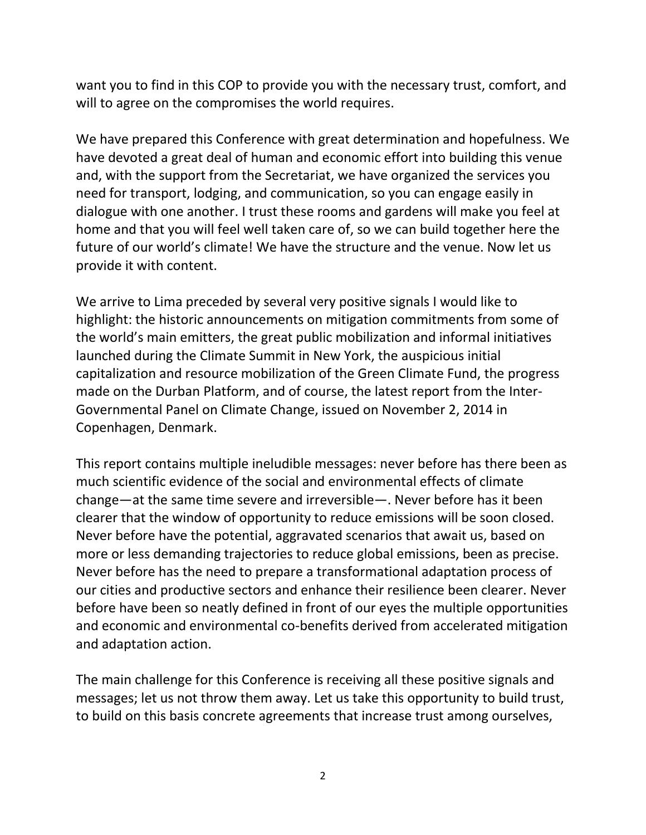want you to find in this COP to provide you with the necessary trust, comfort, and will to agree on the compromises the world requires.

We have prepared this Conference with great determination and hopefulness. We have devoted a great deal of human and economic effort into building this venue and, with the support from the Secretariat, we have organized the services you need for transport, lodging, and communication, so you can engage easily in dialogue with one another. I trust these rooms and gardens will make you feel at home and that you will feel well taken care of, so we can build together here the future of our world's climate! We have the structure and the venue. Now let us provide it with content.

We arrive to Lima preceded by several very positive signals I would like to highlight: the historic announcements on mitigation commitments from some of the world's main emitters, the great public mobilization and informal initiatives launched during the Climate Summit in New York, the auspicious initial capitalization and resource mobilization of the Green Climate Fund, the progress made on the Durban Platform, and of course, the latest report from the Inter-Governmental Panel on Climate Change, issued on November 2, 2014 in Copenhagen, Denmark.

This report contains multiple ineludible messages: never before has there been as much scientific evidence of the social and environmental effects of climate change—at the same time severe and irreversible—. Never before has it been clearer that the window of opportunity to reduce emissions will be soon closed. Never before have the potential, aggravated scenarios that await us, based on more or less demanding trajectories to reduce global emissions, been as precise. Never before has the need to prepare a transformational adaptation process of our cities and productive sectors and enhance their resilience been clearer. Never before have been so neatly defined in front of our eyes the multiple opportunities and economic and environmental co-benefits derived from accelerated mitigation and adaptation action.

The main challenge for this Conference is receiving all these positive signals and messages; let us not throw them away. Let us take this opportunity to build trust, to build on this basis concrete agreements that increase trust among ourselves,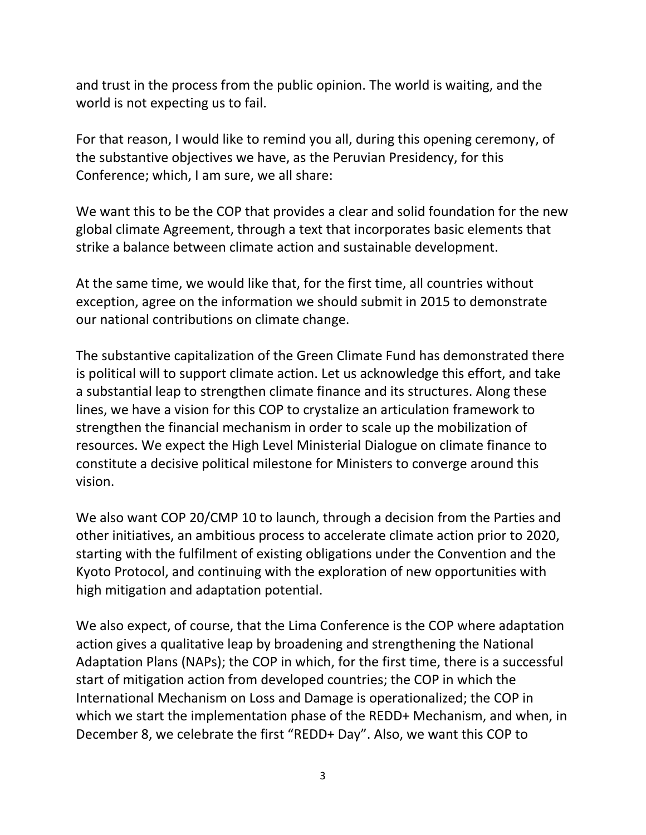and trust in the process from the public opinion. The world is waiting, and the world is not expecting us to fail.

For that reason, I would like to remind you all, during this opening ceremony, of the substantive objectives we have, as the Peruvian Presidency, for this Conference; which, I am sure, we all share:

We want this to be the COP that provides a clear and solid foundation for the new global climate Agreement, through a text that incorporates basic elements that strike a balance between climate action and sustainable development.

At the same time, we would like that, for the first time, all countries without exception, agree on the information we should submit in 2015 to demonstrate our national contributions on climate change.

The substantive capitalization of the Green Climate Fund has demonstrated there is political will to support climate action. Let us acknowledge this effort, and take a substantial leap to strengthen climate finance and its structures. Along these lines, we have a vision for this COP to crystalize an articulation framework to strengthen the financial mechanism in order to scale up the mobilization of resources. We expect the High Level Ministerial Dialogue on climate finance to constitute a decisive political milestone for Ministers to converge around this vision.

We also want COP 20/CMP 10 to launch, through a decision from the Parties and other initiatives, an ambitious process to accelerate climate action prior to 2020, starting with the fulfilment of existing obligations under the Convention and the Kyoto Protocol, and continuing with the exploration of new opportunities with high mitigation and adaptation potential.

We also expect, of course, that the Lima Conference is the COP where adaptation action gives a qualitative leap by broadening and strengthening the National Adaptation Plans (NAPs); the COP in which, for the first time, there is a successful start of mitigation action from developed countries; the COP in which the International Mechanism on Loss and Damage is operationalized; the COP in which we start the implementation phase of the REDD+ Mechanism, and when, in December 8, we celebrate the first "REDD+ Day". Also, we want this COP to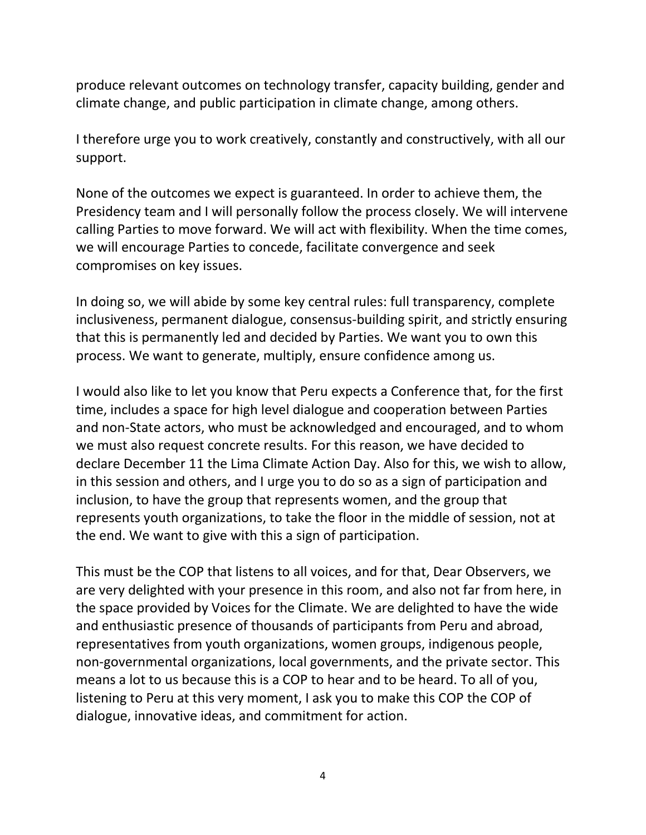produce relevant outcomes on technology transfer, capacity building, gender and climate change, and public participation in climate change, among others.

I therefore urge you to work creatively, constantly and constructively, with all our support.

None of the outcomes we expect is guaranteed. In order to achieve them, the Presidency team and I will personally follow the process closely. We will intervene calling Parties to move forward. We will act with flexibility. When the time comes, we will encourage Parties to concede, facilitate convergence and seek compromises on key issues.

In doing so, we will abide by some key central rules: full transparency, complete inclusiveness, permanent dialogue, consensus-building spirit, and strictly ensuring that this is permanently led and decided by Parties. We want you to own this process. We want to generate, multiply, ensure confidence among us.

I would also like to let you know that Peru expects a Conference that, for the first time, includes a space for high level dialogue and cooperation between Parties and non-State actors, who must be acknowledged and encouraged, and to whom we must also request concrete results. For this reason, we have decided to declare December 11 the Lima Climate Action Day. Also for this, we wish to allow, in this session and others, and I urge you to do so as a sign of participation and inclusion, to have the group that represents women, and the group that represents youth organizations, to take the floor in the middle of session, not at the end. We want to give with this a sign of participation.

This must be the COP that listens to all voices, and for that, Dear Observers, we are very delighted with your presence in this room, and also not far from here, in the space provided by Voices for the Climate. We are delighted to have the wide and enthusiastic presence of thousands of participants from Peru and abroad, representatives from youth organizations, women groups, indigenous people, non-governmental organizations, local governments, and the private sector. This means a lot to us because this is a COP to hear and to be heard. To all of you, listening to Peru at this very moment, I ask you to make this COP the COP of dialogue, innovative ideas, and commitment for action.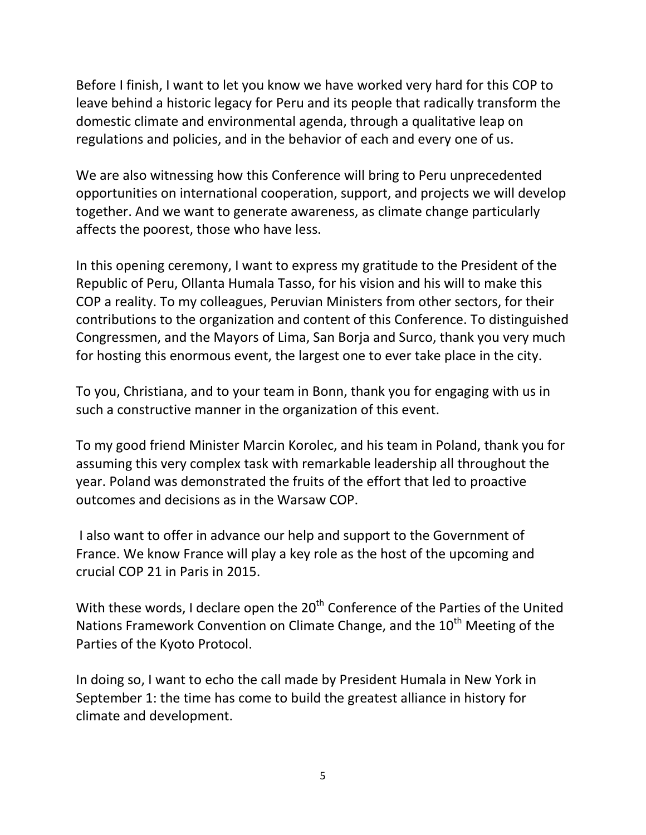Before I finish, I want to let you know we have worked very hard for this COP to leave behind a historic legacy for Peru and its people that radically transform the domestic climate and environmental agenda, through a qualitative leap on regulations and policies, and in the behavior of each and every one of us.

We are also witnessing how this Conference will bring to Peru unprecedented opportunities on international cooperation, support, and projects we will develop together. And we want to generate awareness, as climate change particularly affects the poorest, those who have less.

In this opening ceremony, I want to express my gratitude to the President of the Republic of Peru, Ollanta Humala Tasso, for his vision and his will to make this COP a reality. To my colleagues, Peruvian Ministers from other sectors, for their contributions to the organization and content of this Conference. To distinguished Congressmen, and the Mayors of Lima, San Borja and Surco, thank you very much for hosting this enormous event, the largest one to ever take place in the city.

To you, Christiana, and to your team in Bonn, thank you for engaging with us in such a constructive manner in the organization of this event.

To my good friend Minister Marcin Korolec, and his team in Poland, thank you for assuming this very complex task with remarkable leadership all throughout the year. Poland was demonstrated the fruits of the effort that led to proactive outcomes and decisions as in the Warsaw COP.

I also want to offer in advance our help and support to the Government of France. We know France will play a key role as the host of the upcoming and crucial COP 21 in Paris in 2015.

With these words, I declare open the 20<sup>th</sup> Conference of the Parties of the United Nations Framework Convention on Climate Change, and the  $10<sup>th</sup>$  Meeting of the Parties of the Kyoto Protocol.

In doing so, I want to echo the call made by President Humala in New York in September 1: the time has come to build the greatest alliance in history for climate and development.